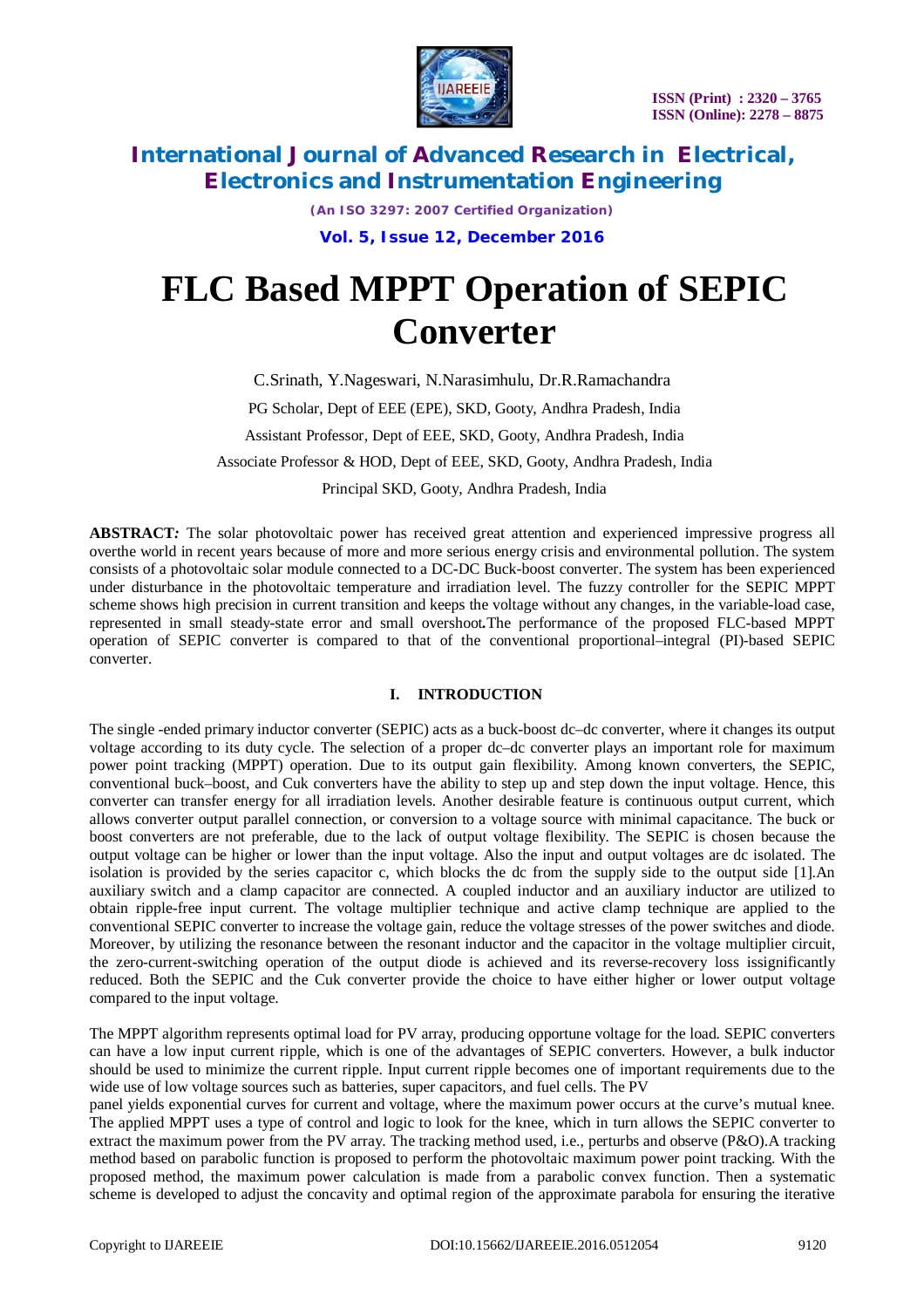

*(An ISO 3297: 2007 Certified Organization)*

**Vol. 5, Issue 12, December 2016**

# **FLC Based MPPT Operation of SEPIC Converter**

C.Srinath, Y.Nageswari, N.Narasimhulu, Dr.R.Ramachandra PG Scholar, Dept of EEE (EPE), SKD, Gooty, Andhra Pradesh, India Assistant Professor, Dept of EEE, SKD, Gooty, Andhra Pradesh, India Associate Professor & HOD, Dept of EEE, SKD, Gooty, Andhra Pradesh, India Principal SKD, Gooty, Andhra Pradesh, India

**ABSTRACT***:* The solar photovoltaic power has received great attention and experienced impressive progress all overthe world in recent years because of more and more serious energy crisis and environmental pollution. The system consists of a photovoltaic solar module connected to a DC-DC Buck-boost converter. The system has been experienced under disturbance in the photovoltaic temperature and irradiation level. The fuzzy controller for the SEPIC MPPT scheme shows high precision in current transition and keeps the voltage without any changes, in the variable-load case, represented in small steady-state error and small overshoot*.*The performance of the proposed FLC-based MPPT operation of SEPIC converter is compared to that of the conventional proportional–integral (PI)-based SEPIC converter.

### **I. INTRODUCTION**

The single -ended primary inductor converter (SEPIC) acts as a buck-boost dc–dc converter, where it changes its output voltage according to its duty cycle. The selection of a proper dc–dc converter plays an important role for maximum power point tracking (MPPT) operation. Due to its output gain flexibility. Among known converters, the SEPIC, conventional buck–boost, and Cuk converters have the ability to step up and step down the input voltage. Hence, this converter can transfer energy for all irradiation levels. Another desirable feature is continuous output current, which allows converter output parallel connection, or conversion to a voltage source with minimal capacitance. The buck or boost converters are not preferable, due to the lack of output voltage flexibility. The SEPIC is chosen because the output voltage can be higher or lower than the input voltage. Also the input and output voltages are dc isolated. The isolation is provided by the series capacitor c, which blocks the dc from the supply side to the output side [1].An auxiliary switch and a clamp capacitor are connected. A coupled inductor and an auxiliary inductor are utilized to obtain ripple-free input current. The voltage multiplier technique and active clamp technique are applied to the conventional SEPIC converter to increase the voltage gain, reduce the voltage stresses of the power switches and diode. Moreover, by utilizing the resonance between the resonant inductor and the capacitor in the voltage multiplier circuit, the zero-current-switching operation of the output diode is achieved and its reverse-recovery loss issignificantly reduced. Both the SEPIC and the Cuk converter provide the choice to have either higher or lower output voltage compared to the input voltage.

The MPPT algorithm represents optimal load for PV array, producing opportune voltage for the load. SEPIC converters can have a low input current ripple, which is one of the advantages of SEPIC converters. However, a bulk inductor should be used to minimize the current ripple. Input current ripple becomes one of important requirements due to the wide use of low voltage sources such as batteries, super capacitors, and fuel cells. The PV

panel yields exponential curves for current and voltage, where the maximum power occurs at the curve's mutual knee. The applied MPPT uses a type of control and logic to look for the knee, which in turn allows the SEPIC converter to extract the maximum power from the PV array. The tracking method used, i.e., perturbs and observe (P&O).A tracking method based on parabolic function is proposed to perform the photovoltaic maximum power point tracking. With the proposed method, the maximum power calculation is made from a parabolic convex function. Then a systematic scheme is developed to adjust the concavity and optimal region of the approximate parabola for ensuring the iterative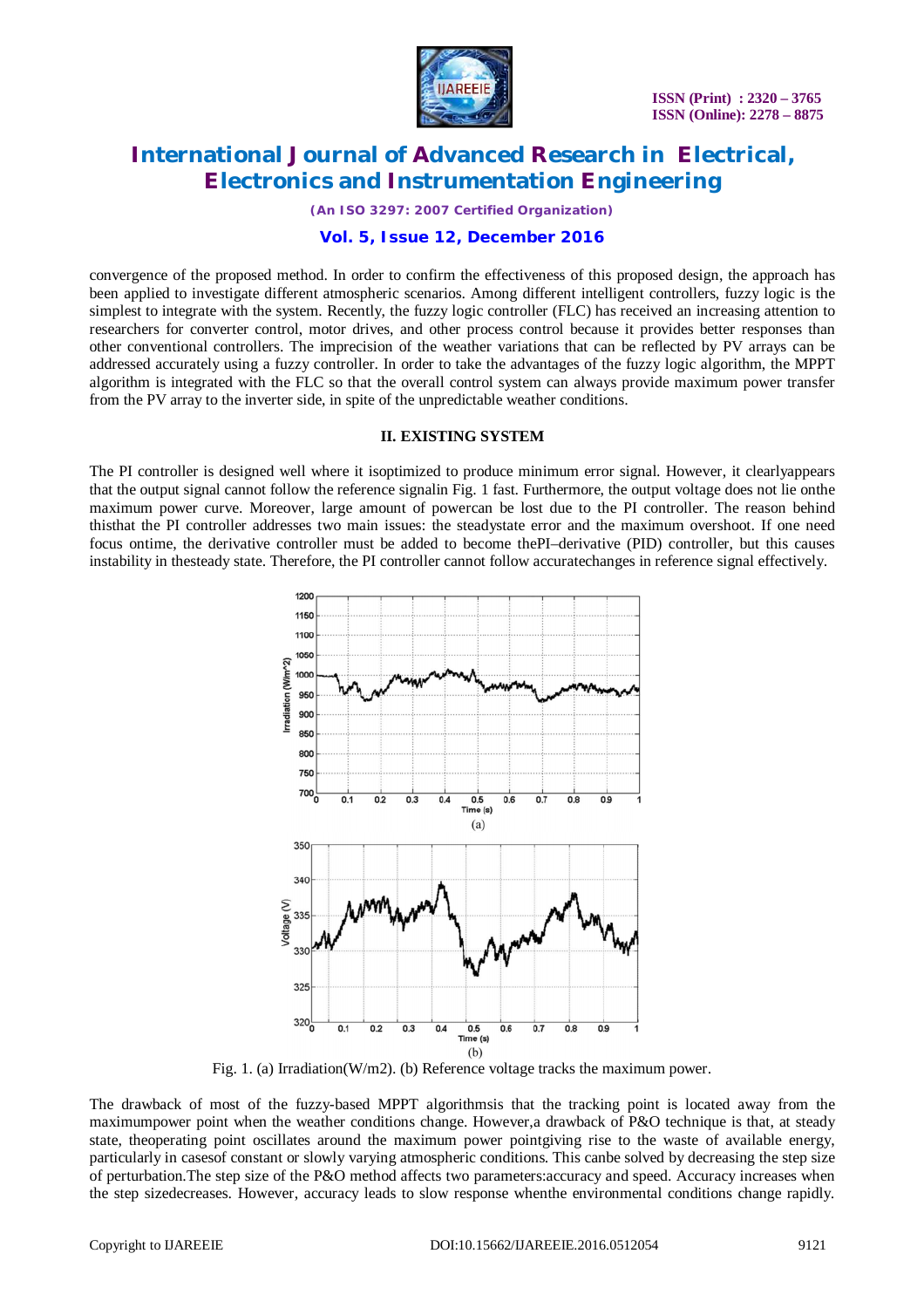

*(An ISO 3297: 2007 Certified Organization)*

### **Vol. 5, Issue 12, December 2016**

convergence of the proposed method. In order to confirm the effectiveness of this proposed design, the approach has been applied to investigate different atmospheric scenarios. Among different intelligent controllers, fuzzy logic is the simplest to integrate with the system. Recently, the fuzzy logic controller (FLC) has received an increasing attention to researchers for converter control, motor drives, and other process control because it provides better responses than other conventional controllers. The imprecision of the weather variations that can be reflected by PV arrays can be addressed accurately using a fuzzy controller. In order to take the advantages of the fuzzy logic algorithm, the MPPT algorithm is integrated with the FLC so that the overall control system can always provide maximum power transfer from the PV array to the inverter side, in spite of the unpredictable weather conditions.

#### **II. EXISTING SYSTEM**

The PI controller is designed well where it isoptimized to produce minimum error signal. However, it clearlyappears that the output signal cannot follow the reference signalin Fig. 1 fast. Furthermore, the output voltage does not lie onthe maximum power curve. Moreover, large amount of powercan be lost due to the PI controller. The reason behind thisthat the PI controller addresses two main issues: the steadystate error and the maximum overshoot. If one need focus ontime, the derivative controller must be added to become thePI–derivative (PID) controller, but this causes instability in thesteady state. Therefore, the PI controller cannot follow accuratechanges in reference signal effectively.



Fig. 1. (a) Irradiation(W/m2). (b) Reference voltage tracks the maximum power.

The drawback of most of the fuzzy-based MPPT algorithmsis that the tracking point is located away from the maximumpower point when the weather conditions change. However,a drawback of P&O technique is that, at steady state, theoperating point oscillates around the maximum power pointgiving rise to the waste of available energy, particularly in casesof constant or slowly varying atmospheric conditions. This canbe solved by decreasing the step size of perturbation.The step size of the P&O method affects two parameters:accuracy and speed. Accuracy increases when the step sizedecreases. However, accuracy leads to slow response whenthe environmental conditions change rapidly.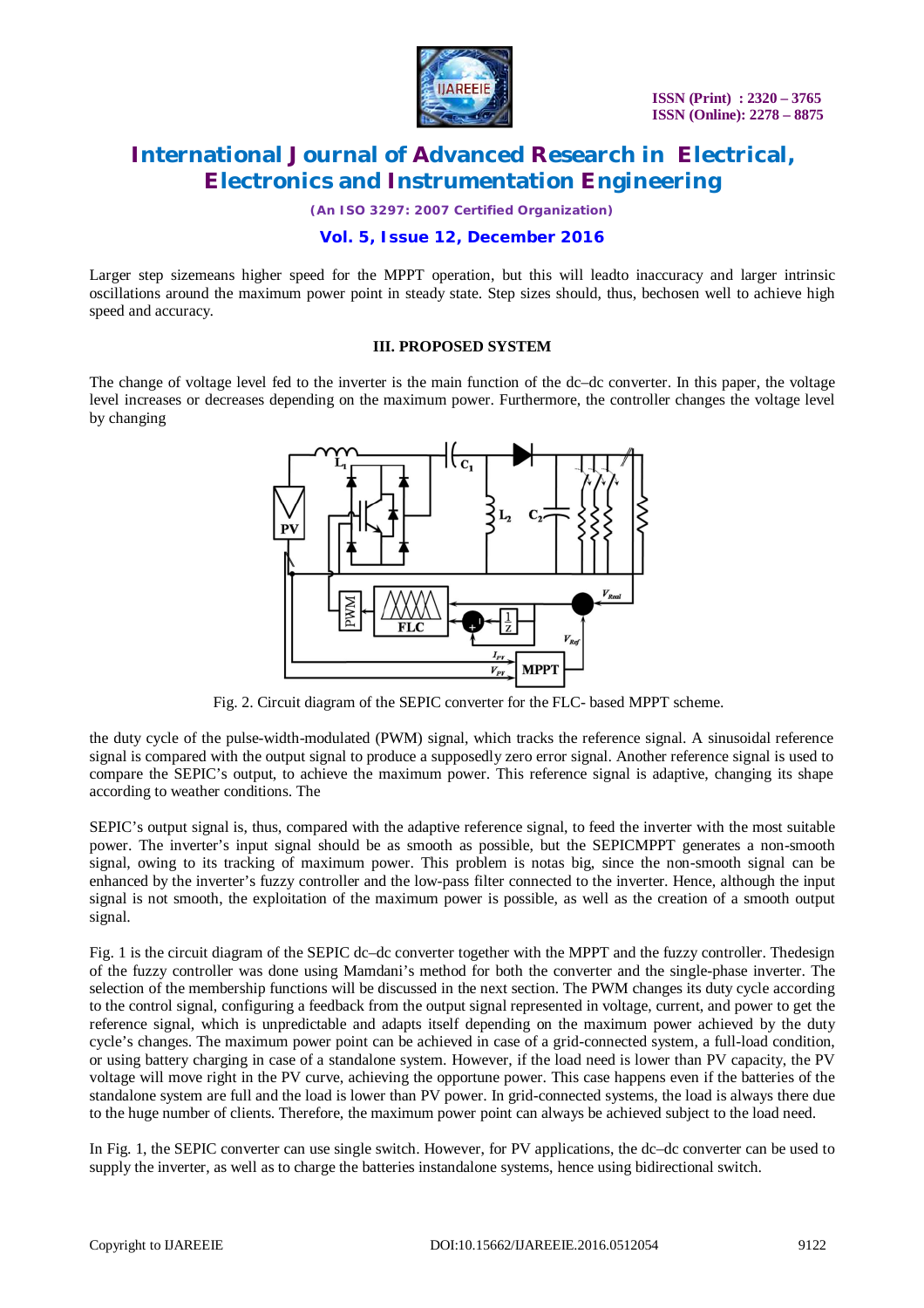

*(An ISO 3297: 2007 Certified Organization)*

### **Vol. 5, Issue 12, December 2016**

Larger step sizemeans higher speed for the MPPT operation, but this will leadto inaccuracy and larger intrinsic oscillations around the maximum power point in steady state. Step sizes should, thus, bechosen well to achieve high speed and accuracy.

#### **III. PROPOSED SYSTEM**

The change of voltage level fed to the inverter is the main function of the dc–dc converter. In this paper, the voltage level increases or decreases depending on the maximum power. Furthermore, the controller changes the voltage level by changing



Fig. 2. Circuit diagram of the SEPIC converter for the FLC- based MPPT scheme.

the duty cycle of the pulse-width-modulated (PWM) signal, which tracks the reference signal. A sinusoidal reference signal is compared with the output signal to produce a supposedly zero error signal. Another reference signal is used to compare the SEPIC's output, to achieve the maximum power. This reference signal is adaptive, changing its shape according to weather conditions. The

SEPIC's output signal is, thus, compared with the adaptive reference signal, to feed the inverter with the most suitable power. The inverter's input signal should be as smooth as possible, but the SEPICMPPT generates a non-smooth signal, owing to its tracking of maximum power. This problem is notas big, since the non-smooth signal can be enhanced by the inverter's fuzzy controller and the low-pass filter connected to the inverter. Hence, although the input signal is not smooth, the exploitation of the maximum power is possible, as well as the creation of a smooth output signal.

Fig. 1 is the circuit diagram of the SEPIC dc–dc converter together with the MPPT and the fuzzy controller. The design of the fuzzy controller was done using Mamdani's method for both the converter and the single-phase inverter. The selection of the membership functions will be discussed in the next section. The PWM changes its duty cycle according to the control signal, configuring a feedback from the output signal represented in voltage, current, and power to get the reference signal, which is unpredictable and adapts itself depending on the maximum power achieved by the duty cycle's changes. The maximum power point can be achieved in case of a grid-connected system, a full-load condition, or using battery charging in case of a standalone system. However, if the load need is lower than PV capacity, the PV voltage will move right in the PV curve, achieving the opportune power. This case happens even if the batteries of the standalone system are full and the load is lower than PV power. In grid-connected systems, the load is always there due to the huge number of clients. Therefore, the maximum power point can always be achieved subject to the load need.

In Fig. 1, the SEPIC converter can use single switch. However, for PV applications, the dc–dc converter can be used to supply the inverter, as well as to charge the batteries instandalone systems, hence using bidirectional switch.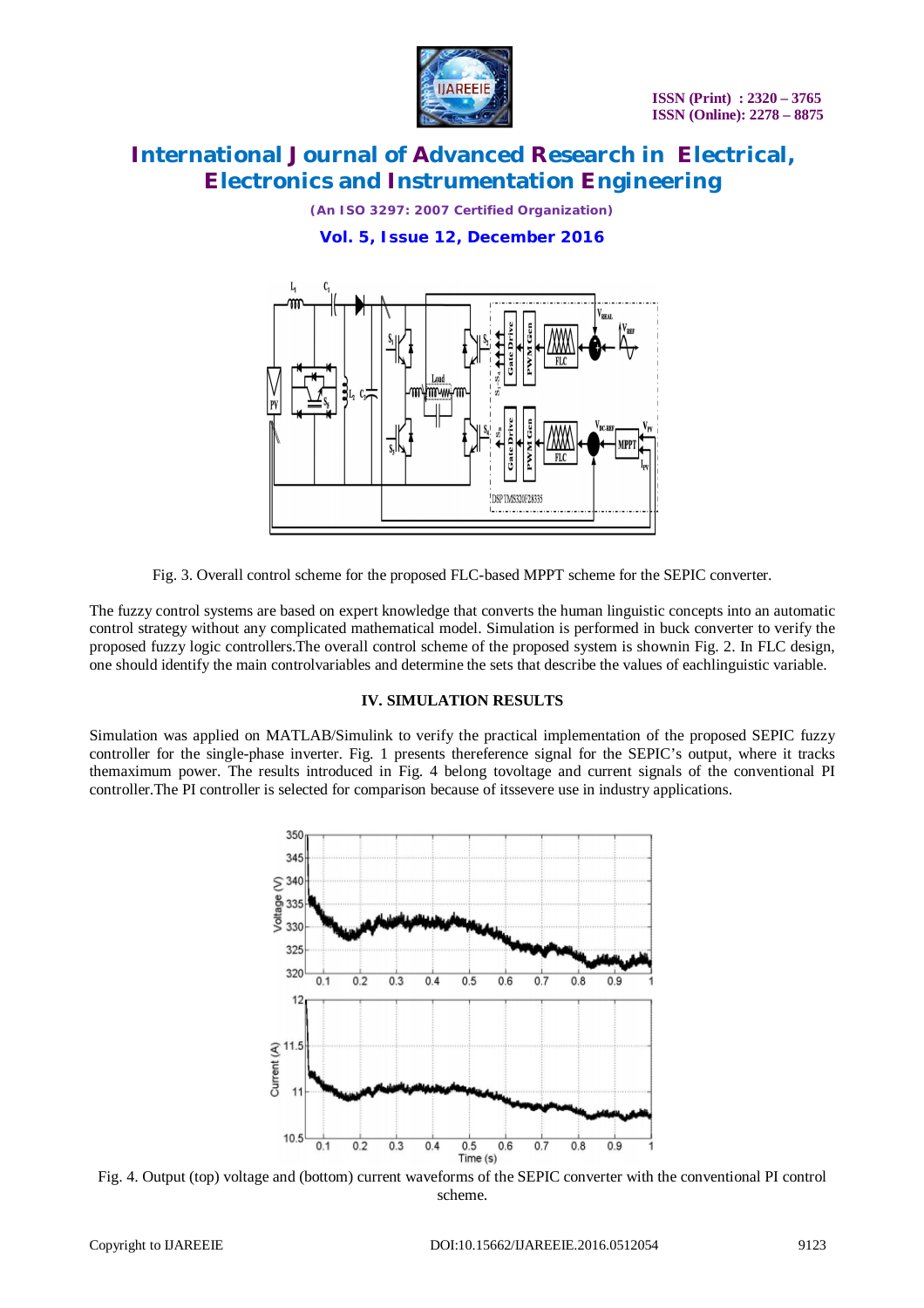

*(An ISO 3297: 2007 Certified Organization)*

**Vol. 5, Issue 12, December 2016**



Fig. 3. Overall control scheme for the proposed FLC-based MPPT scheme for the SEPIC converter.

The fuzzy control systems are based on expert knowledge that converts the human linguistic concepts into an automatic control strategy without any complicated mathematical model. Simulation is performed in buck converter to verify the proposed fuzzy logic controllers.The overall control scheme of the proposed system is shownin Fig. 2. In FLC design, one should identify the main controlvariables and determine the sets that describe the values of eachlinguistic variable.

#### **IV. SIMULATION RESULTS**

Simulation was applied on MATLAB/Simulink to verify the practical implementation of the proposed SEPIC fuzzy controller for the single-phase inverter. Fig. 1 presents thereference signal for the SEPIC's output, where it tracks themaximum power. The results introduced in Fig. 4 belong tovoltage and current signals of the conventional PI controller.The PI controller is selected for comparison because of itssevere use in industry applications.



Fig. 4. Output (top) voltage and (bottom) current waveforms of the SEPIC converter with the conventional PI control scheme.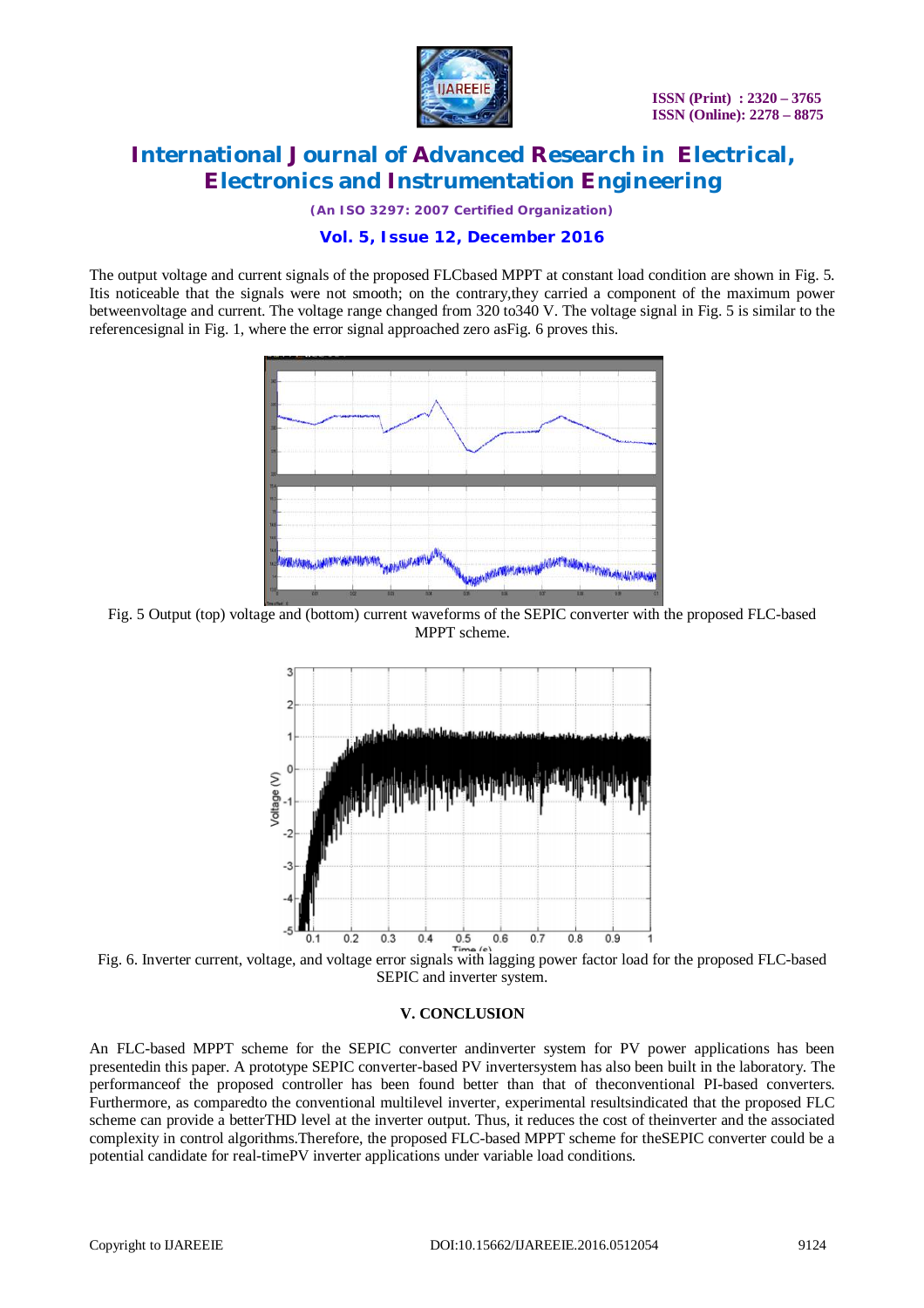

*(An ISO 3297: 2007 Certified Organization)*

### **Vol. 5, Issue 12, December 2016**

The output voltage and current signals of the proposed FLCbased MPPT at constant load condition are shown in Fig. 5. Itis noticeable that the signals were not smooth; on the contrary,they carried a component of the maximum power betweenvoltage and current. The voltage range changed from 320 to340 V. The voltage signal in Fig. 5 is similar to the referencesignal in Fig. 1, where the error signal approached zero asFig. 6 proves this.



Fig. 5 Output (top) voltage and (bottom) current waveforms of the SEPIC converter with the proposed FLC-based MPPT scheme.



Fig. 6. Inverter current, voltage, and voltage error signals with lagging power factor load for the proposed FLC-based SEPIC and inverter system.

#### **V. CONCLUSION**

An FLC-based MPPT scheme for the SEPIC converter andinverter system for PV power applications has been presentedin this paper. A prototype SEPIC converter-based PV invertersystem has also been built in the laboratory. The performanceof the proposed controller has been found better than that of theconventional PI-based converters. Furthermore, as comparedto the conventional multilevel inverter, experimental resultsindicated that the proposed FLC scheme can provide a betterTHD level at the inverter output. Thus, it reduces the cost of theinverter and the associated complexity in control algorithms.Therefore, the proposed FLC-based MPPT scheme for theSEPIC converter could be a potential candidate for real-timePV inverter applications under variable load conditions.